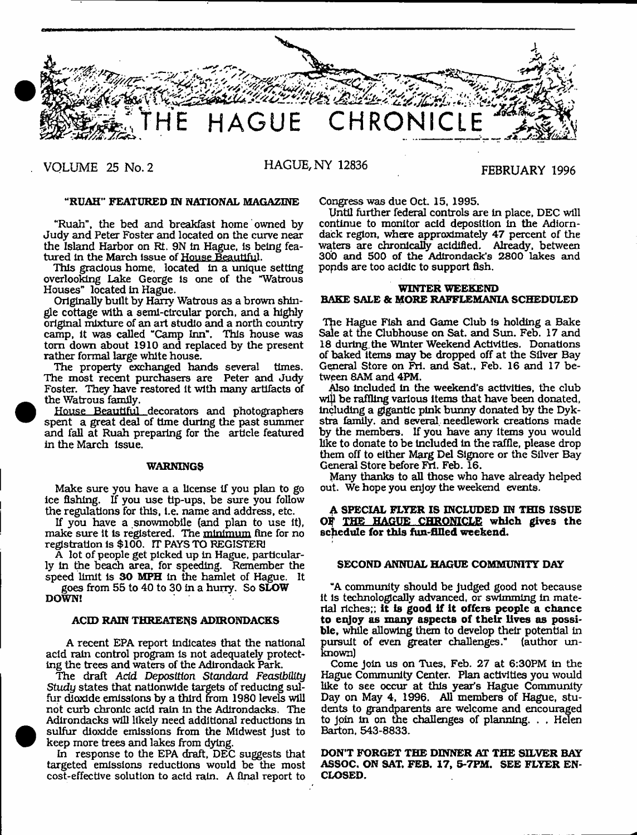

**VOLUME 25 No. 2 HAGUE, NY 12836 FEBRUARY 1996**

# **MRUAH" FEATURED IN NATIONAL MAGAZINE**

"Ruah", the bed and breakfast home owned by Judy and Peter Foster and located on the curve near the Island Harbor on Rt. 9N In Hague, is being featured in the March issue of House Beautiful.

This gracious home, located in a unique setting overlooking Lake George is one of the "Watrous Houses" located in Hague.

Originally built by Harry Watrous as a brown shingle cottage with a semi-circular porch, and a highly original mixture of an art studio and a north country camp, it was called "Camp Inn". This house was tom down about 1910 and replaced by the present rather formal large white house.

The property exchanged hands several times. The most recent purchasers are Peter and Judy Foster. They have restored it with many artifacts of the Watrous family.

House Beautiful decorators and photographers spent a great deal of time during the past summer and fall at Ruah preparing for the article featured in the March issue.

### **WARNINGS**

Make sure you have a a license if you plan to go ice fishing. If you use tip-ups, be sure you follow the regulations for this, I.e. name and address, etc.

If you have a snowmobile (and plan to use it), make sure it is registered. The minimum fine for no registration is \$100. IT PAYS TO REGISTER]

A lot of people get picked up in Hague, particularly In the beach area, for speeding. Remember the speed limit is **30 MPH** in the hamlet of Hague. It

goes from 55 to 40 to 30 in a huny. So **SLOW DOWN!**

# **ACID RAIN THREATENS ADIRONDACKS**

A recent EPA report indicates that the national acid rain control program is not adequately protecting the trees and waters of the Adirondack Park.

The draft *Add Deposition Standard Feasibility Study* states that nationwide targets of reducing sulfur dioxide emissions by a third from 1980 levels will not curb chronic acid rain in the Adirondacks. The Adirondacks will likely need additional reductions In sulfur dioxide emissions from the Midwest just to keep more trees and lakes from dying.

In response to the EPA draft, DEC suggests that targeted emissions reductions would be the most cost-effective solution to acid rain. A final report to

<sup>•</sup>

Congress was due Oct. 15, 1995.

Until further federal controls are in place, DEC will continue to monitor acid deposition in the Adiorndack region, where approximately 47 percent of the waters are chronically acidified. Already, between 30b and 500 of the Adirondack's 2800 lakes and popds are too acidic to support fish.

# **WINTER WEEKEND BAKE SALE & MORE RAFFLEMANIA SCHEDULED**

The Hague Fish and Game Club is holding a Bake Sale at the Clubhouse on Sat. and Sun. Feb. 17 and 18 during, the Winter Weekend Activities. Donations of baked items may be dropped off at the Silver Bay General Store on Fri. and Sat., Feb. 16 and 17 between SAM and 4PM.

Also Included in the weekend's activities, the club wljl be raffling various items that have been donated, Including a gigantic pink bunny donated by the Dykstra family, and several, needlework creations made by the members. If you have any items you would like to donate to be Included in the raffle, please drop them off to either Marg Del Signore or the Silver Bay General Store before Fri. Feb. 16.

Many thanks to all those who have already helped out. We hope you enjoy the weekend events.

# **A SPECIAL FLYER IS INCLUDED IN THIS ISSUE O? THE HAGUE CHRONICLE which gives the schedule for this fun-filled weekend.**

#### **SECOND ANNUAL HAGUE COMMUNITY DAY**

"A community should be Judged good not because it is technologically advanced, or swimming in material riches;; **it is good if it offezs people a chance to enjoy as many aspects of their lives as possible,** while allowing them to develop their potential in pursuit of even greater challenges." (author unknown)

Come Join us on Tues, Feb. 27 at 6:30PM in the Hague Community Center. Plan activities you would like to see occur at this year's Hague Community Day on May 4, 1996. **All** members of Hague, stu dents to grandparents are welcome and encouraged to Join in on the challenges of planning. . . Helen Barton, 543-8833.

**DON'T FORGET THE DINNER AT THE SILVER BAY ASSOC. ON SAT. FEB. 17, 5-7FM. SEE FLYER EN-CLOSED.**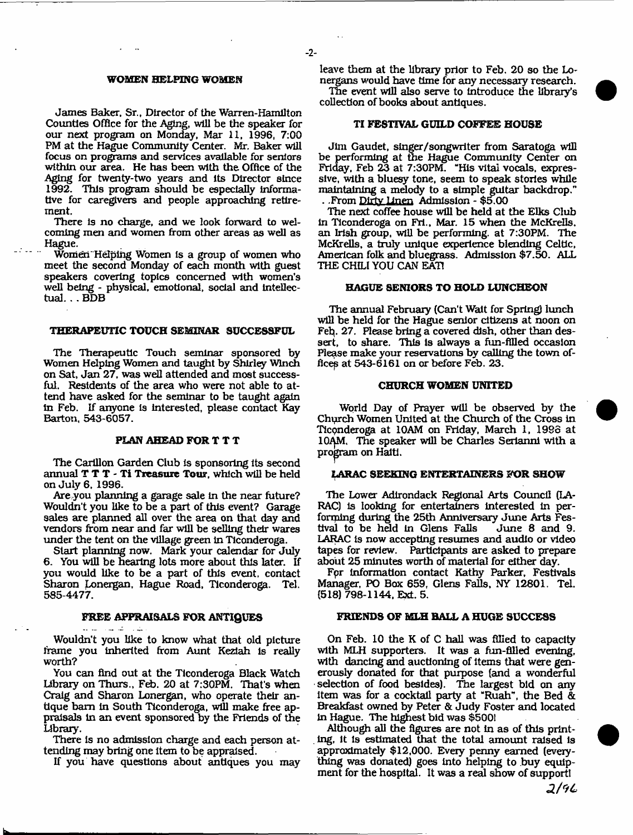#### WOMEN HELPING WOMEN

James Baker, Sr., Director of the Warren-Hamilton Counties Office for the Aging, will be the speaker for our next program on Monday, Mar 11, 1996, 7:00 PM at the Hague Community Center. Mr. Baker will focus on programs and services available for seniors within our area. He has been with the Office of the Aging for twenty-two years and its Director since 1992. This program should be especially informative for caregivers and people approaching retirement.

There is no charge, and we look forward to welcoming men and women from other areas as well as Hague.

Women Helping Women is a group of women who meet the second Monday of each month with guest speakers covering topics concerned with women's well being - physical, emotional, social and intellectual. . . BDB

#### THERAPEUTIC TOUCH SEMINAR SUCCESSFUL

The Therapeutic Touch seminar sponsored by Women Helping Women and taught by Shirley Winch on Sat, Jan 27, was well attended and most successful. Residents of the area who were not able to attend have asked for the seminar to be taught again in Feb. If anyone is interested, please contact Kay Barton, 543-6057.

# PLAN AHEAD FOR T T T

The Carillon Garden Club is sponsoring its second annual T T T - Ti Treasure Tour, which will be held on July 6, 1996.

Are you planning a garage sale in the near future? Wouldn't you like to be a part of this event? Garage sales are planned all over the area on that day and vendors from near and far will be selling their wares under the tent on the village green in Ticonderoga.

Start planning now. Mark your calendar for July 6. You will be hearing lots more about this later. If you would like to be a part of this event, contact Sharon Lonergan, Hague Road, Ticonderoga. Tel. 585-4477.

# FREE APPRAISALS FOR ANTIQUES

عقاب القاعدة المداعد

Wouldn't you like to know what that old picture frame you inherited from Aunt Keziah is really worth?

You can find out at the Ticonderoga Black Watch Library on Thurs., Feb. 20 at 7:30PM. That's when Craig and Sharon Lonergan, who operate their antique bam in South Ticonderoga, will make free appraisals in an event sponsored by the Friends of the Library,

There is no admission charge and each person attending may bring one Item to be appraised.

If you have questions about antiques you may

leave them at the library prior to Feb, 20 so the Lonergans would have time for any necessary research.

The event will also serve to Introduce the library's collection of books about antiques.

# TI FESTIVAL GUILD COFFEE HOUSE

Jim Gaudet, singer/songwriter from Saratoga will be performing at the Hague Community Center on Friday. Feb 23 at 7:30PM. "His vital vocals, expressive, with a bluesy tone, seem to speak stories while maintaining a melody to a simple guitar backdrop." . .From Dirty Linen Admission - \$5,00

The next coffee house will be held at the Elks Club in Ticonderoga on Fri., Mar. 15 when the McKrells. an Irish gfoup, will be performing, at 7:30PM. The McKrells, a truly unique experience blending Celtic, American folk and bluegrass. Admission \$7.50. ALL THE CHILI YOU CAN EAT!

# HAGUE SENIORS TO HOLD LUNCHEON

The annual February (Can't Wait for Spring) lunch will be held for the Hague senior citizens at noon on Feb. 27. Please bring a covered dish, other than dessert, to share. This is always a fun-filled occasion Please make your reservations by calling the town offices at 543-6161 on or before Feb. 23.

#### CHURCH WOMEN UNITED

World Day of Prayer will be observed by the Chyrch Women United at the Church of the Cross in Ticonderoga at 10AM on Friday, March 1, 1986 at 10AM. The speaker will be Charles Serianni with a program on Haiti.

# LARAC SEEKING ENTERTAINERS FOR SHOW

The Lower Adirondack Regional Arts Council (LA-RAC) is looking for entertainers interested in performing during the 25th Anniversary June Arts Festival to be held in Glens Falls LARAC is now accepting resumes and audio or video tapes for review. Participants are asked to prepare about 25 minutes worth of material for either day.

Fpr Information contact Kathy Parker, Festivals Manager, PO Box 659, Glens Falls, NY 12801. Tel. (518) 798-1144, Ext. 5.

# FRIENDS OF MLH HALL A HUGE SUCCESS

On Feb. 10 the K of C hall was filled to capacity with MLH supporters. It was a fun-fllled evening, with dancing and auctioning of items that were generously donated for that purpose (and a wonderful selection of food besides). The largest bid on any item was for a cocktail party at "Ruah", the Bed & Breakfast owned by Peter & Judy Foster and located in Hague. The highest bid was \$5001

Although all the figures are not in as of this printing, it is estimated that the total amount raised is approximately \$12,000. Every penny earned (everything was donated) goes into helping to buy equipment for the hospital. It was a real show of support!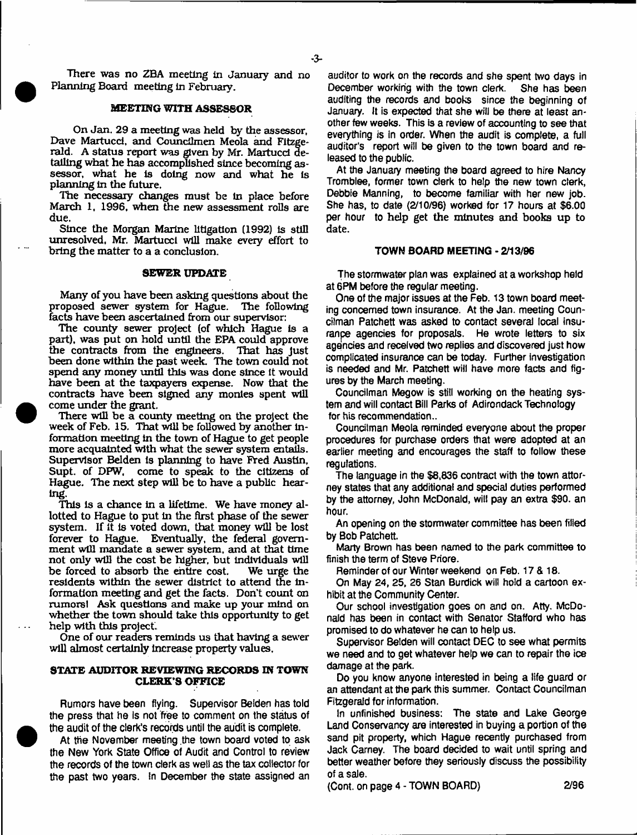-3-

There was no ZBA meeting in January and no Planning Board meeting in February.

# **MEETING WITH ASSESSOR**

On Jan. 29 a meeting was held by the assessor, Dave Martucci, and Councilmen Meola and Fitzgerald. A status report was given by Mr. Martucci detailing what he has accomplished since becoming assessor, what he is doing now and what he Is planning in the future.

The necessary changes must be In place before March 1, 1996, when the new assessment rolls are due.

Since the Morgan Marine litigation (1992) Is still unresolved, Mr. Martucci will make every effort to bring the matter to a a conclusion.

# **SEWER UPDATE**

Many of you have been asking questions about the proposed sewer system for Hague. The following facts have been ascertained from our supervisor:

The county sewer project (of which Hague is a part), was put on hold until the EPA could approve the contracts from the engineers. been done within the past week. The town could not spend any money until this was done since it would have been at the taxpayers expense. Now that the contracts have been signed any monies spent will come under the grant.

There will be a county meeting on the project the week of Feb. 15. That will be followed by another information meeting in the town of Hague to get people more acquainted with what the sewer system entails. Supervisor Belden is planning to have Fred Austin, Supt. of DFW, come to speak to the citizens of Hague. The next step will be to have a public hearing.

This is a chance in a lifetime. We have money allotted to Hague to put in the first phase of the sewer system. If it is voted down, that money will be lost forever to Hague. Eventually, the federal government will mandate a sewer system, and at that time not only will the cost be higher, but individuals will be forced to absorb the entire cost. We urge the residents within the sewer district to attend the information meeting and get the facts. Don't count on rumorel Ask questions and make up your mind on whether the town should take this opportunity to get help with this project.

One of our readers reminds us that having a sewer will almost certainly increase property values,

# **STATE AUDITOR REVIEWING RECORDS IN TOWN CLERK'S OFFICE**

**Rumors have been flying. Supervisor Belden has told the press that he is not free to comment on the status of the audit of the clerk's records until the audit is complete.**

**At the November meeting .the town board voted to ask the New York State Office of Audit and Control to review the records of the town clerk as weti as the tax collector for the past two years, in December the state assigned an** **auditor to work on the records and she spent two days in December working with the town clerk. She has been auditing the records and books since the beginning of January. It is expected that she will be there at least another few weeks. This is a review of accounting to see that everything is in order. When the audit is complete, a full auditor's report will be given to the town board and released to the public.**

At the January meeting the board agreed to hire Nancy **Tromblee, former town clerk to help the new town clerk, Debbie Manning, to become familiar with her new job. She has, to date (2/10/96) worked for 17 hours** at **\$6.00 per hour to** help get the minutes and **books** up **to** date.

# **TOWN BOARD MEETING - 2/13/96**

**The stormwater plan was explained at a workshop held at 6PM before the regular meeting.**

**One of the major issues at the Feb. 13 town board meeting concerned town insurance. At the Jan. meeting Councilman Patchett was asked to contact several local insuranpe agencies for proposals. He wrote letters to six agencies and received two replies and discovered just how complicated insurance can be today. Further investigation is needed and Mr. Patchett will have more facts and figures by the March meeting.**

**Councilman Megow is still working on the heating system and will contact Bill Parks of Adirondack Technology for his recommendation..**

**Councilman Meola reminded everyone about the proper procedures for purchase orders that were adopted at an** earlier meeting and encourages the staff to follow these **regulations.**

**The language in the \$8,836 contract with the town attorney states that any additional and special duties performed by the attorney, John McDonald, will pay an extra \$90. an hour.**

**An opening on the stormwater committee has been filled by Bob Patchett.**

**Marty Brown has been named to the park committee to finish the term of Steve Priore.**

**Reminder of our Winter weekend on Feb. 17 & 18.**

**On May 24, 25, 26 Stan Burdick will hold a cartoon exhibit at the Community Center.**

**Our school investigation goes on and on. Atty, McDonald has been in contact with Senator Stafford who has promised to do whatever he can to help us.**

**Supervisor Belden will contact DEC to see what permits we need and to get whatever help we can to repair the ice damage at the park.**

**Do you know anyone interested in being a life guard or an attendant at the park this summer. Contact Councilman Fitzgerald for information.**

**In unfinished business: The state and Lake George Land Conservancy are interested in buying a portion of the sand pit property, which Hague recently purchased from Jack Carney. The board decided to wait until spring and better weather before they seriously discuss the possibility of a sale.**

**(Cont. on page 4 - TOWN BOARD) 2/96**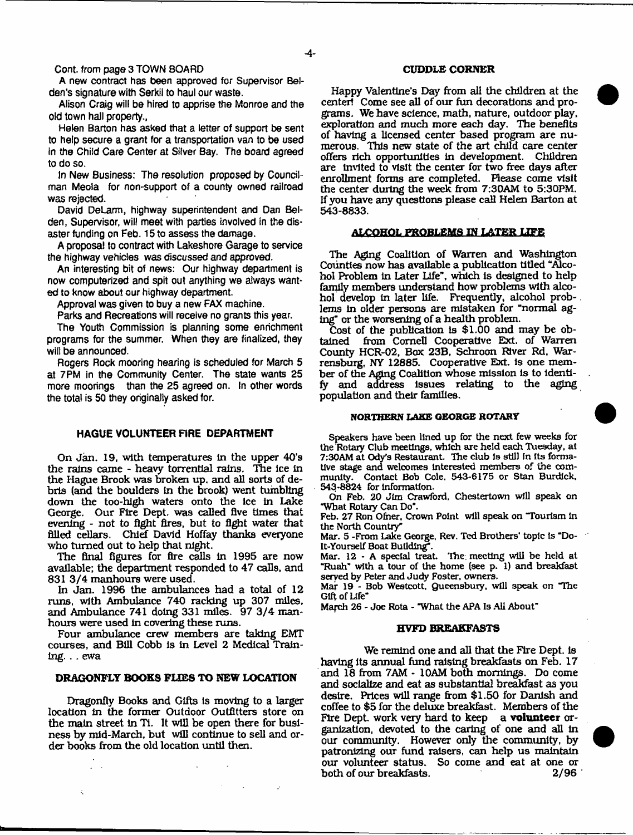**Cont. from page 3 TOWN BOARD**

**A new contract has been approved for Supervisor Beltien's signature with Serkii to haul our waste.**

**Alison Craig will be hired to apprise the Monroe and the old town hall property.,**

**Helen Barton has asked that a letter of support be sent to help secure a grant for a transportation van to be used in the Child Care Center at Silver Bay. The board agreed to do so.**

**In New Business: The resolution proposed by Councilman Meoia for non-support of a county owned railroad was rejected.**

**David DeLarm, highway superintendent and Dan Belden, Supervisor, will meet with parties involved in the disaster funding on Feb. 15 to assess the damage.**

**A proposal to contract with Lakeshore Garage to service the highway vehicles was discussed and approved.**

**An interesting bit of news: Our highway department is now computerized and spit out anything we always wanted to know about our highway department.**

**Approval was given to buy a new FAX machine.**

**Parks and Recreations will receive no grants this year.**

**The Youth Commission is planning some enrichment programs for the summer. When they are finalized, they will be announced.**

**Rogers Rock mooring hearing is scheduled for March 5 at 7PM in the Community Center. The state wants 25 more moorings than the 25 agreed on. In other words the total is 50 they originally asked for.**

# **HAGUE VOLUNTEER FIRE DEPARTMENT**

On Jan. 19, with temperatures In the upper 40's the rains came - heavy torrential rains. The Ice In the Hague Brook was broken up, and all sorts of debris (and the boulders tn the brook) went tumbling down the too-high waters onto the ice In Lake George. Our Fire Dept, was called five times that evening - not to fight fires, but to fight water that filled cellars. Chief David Hoffay thanks everyone who turned out to help that night.

The final figures for fire calls in 1995 are now available; the department responded to 47 calls, and 831 3/4 manhours were used.

In Jan. 1996 the ambulances had a total of 12 runs, with Ambulance 740 racking up 307 miles, and Ambulance 741 doing 331 miles. 97 3/4 manhours were used in covering these runs.

Four ambulance crew members are taking EMT courses, and Bill Cobb Is In Level 2 Medical Training. . . ewa

# **DRAGONFLY BOOKS FLIES TO NEW LOCATION**

Dragonfly Books and Gifts Is moving to a larger location In the former Outdoor Outfitters store on the main street In Ti. It will be open there for business by mid-March, but will continue to sell and order books from the old location until then.

 $\ddot{\varepsilon}$ 

#### **CUDDLE CORNER**

Happy Valentine's Day from all the children at the centerl Come see all of our fun decorations and programs. We have science, math, nature, outdoor play, exploration and much more each day. The benefits of having a licensed center based program are numerous. This new state of the art child care center offers rich opportunities in development. Children are Invited to visit the center for two free days after enrollment forms are completed. Please come visit the center during the week from 7;30AM to 5:30PM. If you have any questions please call Helen Barton at 543-8833.

# **ALCOHOL PROBLEMS IN LATER LIFE**

The Aging Coalition of Warren and Washington Counties now has available a publication titled "Alcohol Problem in Later Life", which is designed to help family members understand how problems with alcohol develop In later life. Frequently, alcohol prob-. lems in older persons are mistaken for "normal aging" or the worsening of a health problem.

Cost of the publication is \$1.00 and may be obtained from Cornell Cooperative Ext. of Warren from Cornell Cooperative Ext. of Warren County HCR-02, Box 23B, Schroon River Rd, Warrensburg, NY 12885. Cooperative Ext. is one member of the Aging Coalition whose mission is to Identify and address Issues relating to the aging population and their families.

# **NORTHERN LAKE GEORGE ROTARY**

Speakers have been lined up for the next few weeks for the Rotary Club meetings, which are held each Tuesday, at 7:30AM at Ody's Restaurant. The club is still in its formative stage and welcomes Interested members of the community. Contact Bob Cole. 543-6175 or Stan Burdick. 543-8824 for information.

On Feb. 20 Jim Crawford, Chestertown will speak on "What Rotary Can Do".

Feb. 27 Ron Ofner, Crown Point will speak on "Tourism in the North Country"

Mar. 5 -From Lake George, Rev. Ted Brothers' topic is "Do-It-Yourself Boat Building".

Mar. 12 - A special treat. The meeting will be held at "Ruah" with a tour of the home (see p. 1) and breakfast served by Peter and Judy Foster, owners.

Mar 19 - Bob Westcott, Queensbury. will speak on The Gift of Life"

March 26 - Joe Rota - "What the APA Is Ail About"

#### **HVFD BREAKFASTS**

We remind one and all that the Fire Dept, is having its annual fund raising breakfasts on Feb. 17 and 18 from 7AM - 10AM both mornings. Do come and socialize and eat as substantial breakfast as you desire. Prices will range from \$1.50 for Danish and coffee to \$5 for the deluxe breakfast. Members of the Fire Dept, work very hard to keep a **volunteer** organization, devoted to the caring of one and all In our community. However only the community, by patronizing our fund raisers, can help us maintain our volunteer status. So come and eat at one or both of our breakfasts. 2/96 both of our breakfasts.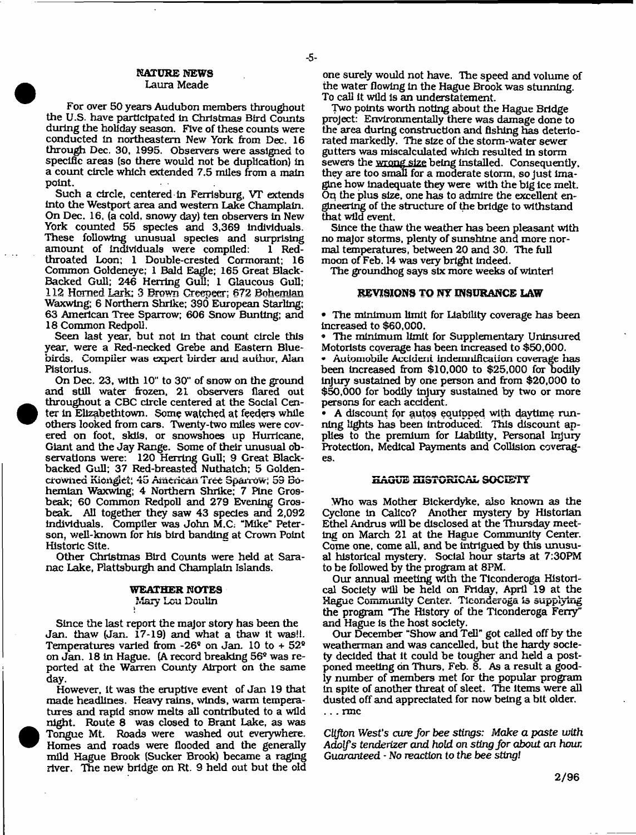# **NAXURE NEWS** Laura Meade

-5-

For over 50 years Audubon members throughout the U.S. have participated In Christmas Bird Counts during the holiday season. Five of these counts were conducted In northeastern New York from Dec. 16 through Dec. 30, 1995. Observers were assigned to specific areas (so there would not be duplication) In a count circle which extended 7,5 miles from a main point.

Such a circle, centered in Ferrisburg, VT extends into the Westport area and western Lake Champlain. On Dec. 16, (a cold, snowy day) ten observers In New York counted 55 species and 3,369 Individuals. These following unusual species and surprising amount of individuals were compiled: 1 Redthroated Loon; 1 Double-crested Cormorant; 16 Common Goldeneye; 1 Bald Eagle; 165 Great Black-Backed Gull; 246 Herring Gul; 1 Glaucous Gull; 112 Homed Lark; 3 Brown Creepeer; 672 Bohemian Waxwing; 6 Northern Shrike; 390 European Starling; 63 American Tree Sparrow; 606 Snow Bunting; and 18 Common Redpoll.

Seen last year, but not in that count circle this year, were a Red-necked Grebe and Eastern Bluebirds. Compiler was expert birder and author, Alan Pistorius.

On Dec. 23, with 10" to 30" of snow on the ground and still water frozen, 21 observers flared out throughout a CBC circle centered at the Social Center In Elizabethtown. Some watched at feeders while others looked from cars. Twenty-two miles were covered on foot, sldis, or snowshoes up Hurricane, Giant and the Jay Range. Some of their unusual observations were: 120 Herring Gull; 9 Great Blackbacked Gull; 37 Red-breasted Nuthatch; 5 Goldencrowiied **K ioriglci;** 45 **A m erican** Tree **Sparrow;** 53 Bohemian Waxwing; 4 Northern Shrike; 7 Pine Grosbeak; 60 Common Redpoll and 279 Evening Grosbeak. All together they saw 43 species and 2,092 Individuals. Compiler was John M.C; "Mike\*' Peterson, well-known for his bird banding at Crown Point Historic Site.

Other Christmas Bird Counts were held at Saranac Lake, Plattsburgh and Champlain Islands.

#### **WEATHER NOTES**

#### Mary Lou Doulir

Since the last report the major story has been the Jan. thaw (Jan. 17-19) and what a thaw it was!!. Temperatures varied from  $-26^{\circ}$  on Jan. 10 to  $+52^{\circ}$ on Jan. 18 in Hague. (A record breaking 56® was reported at the Warren County Airport on the same day.

However, it was the eruptive event of Jan 19 that made headlines. Heavy rains, winds, warm temperatures and rapid snow melts all contributed to a wild night. Route 8 was closed to Brant Lake, as was Tongue Mt. Roads were washed out everywhere. Homes and roads were flooded and the generally mild Hague Brook (Sucker Brook) became a raging river. The new bridge on Rt. 9 held out but the old one surely would not have. The speed and volume of the water flowing In the Hague Brook was stunning. To call It wild Is an understatement.

Two points worth noting about the Hague Bridge project: Environmentally there was damage done to the area during construction and fishing has deteriorated markedly. The size of the storm-water sewer gutters was miscalculated which resulted In storm sewers the wrong size being installed. Consequently, they are too small for a moderate storm, so Just imagine how Inadequate they were with the big ice melt. On the plus size, one has to admire the excellent engineering of the structure of the bridge to withstand that wild event.

Since the thaw the weather has been pleasant with no major storms, plenty of sunshine and more normal temperatures, between 20 and 30. The full moon of Feb. 14 was very bright Indeed.

The groundhog says six more weeks of winter!

## **REVISIONS TO NY INSURANCE LAW**

• The minimum limit for Liability coverage has been Increased to \$60,000.

• The minimum limit for Supplementary Uninsured Motorists coverage has been increased to \$50,000.

Automobile Accident indemnification coverage has been Increased from \$10,000 to \$25,000 for bodily injury sustained by one person and from \$20,000 to \$50,000 for bodily Injury sustained by two or more persons for each accident.

• A discount for autos equipped with daytime running lights has been Introduced. This discount applies to the premium for Liability, Personal Injury Protection, Medical Payments and Collision coverages.

# **HAGUE HISTORICAL SOCIETY**

Who was Mother Bickerdyke, also known as the Cyclone In Calico? Another mystery by Historian Ethel Andrus will be disclosed at the Thursday meeting on March 21 at the Hague Community Center. Come one, come all, and be intrigued by this unusual historical mystery. Social hour starts at 7:30PM to be followed by the program at 8PM.

Our annual meeting with the Ticonderoga Historical Society will be held on Friday, April 19 at the Hague Community Center. Ticonderoga is supplying the program "The History of the Ticonderoga Ferry" and Hague Is the host society.

Our December "Show and Tell" got called off by the weatherman and was cancelled, but the hardy society decided that it could be tougher and held a postponed meeting on Thurs, Feb. 8. As a result a goodly number of members met for the popular program in spite of another threat of sleet. The Items were all dusted off and appreciated for now being a bit older. . . . rrnc

*CUfton W ests cure for bee stings: Make a paste with Adolfs tenderizer and hold on sting for about an hour. Guaranteed* - No reaction to the *bee sting!*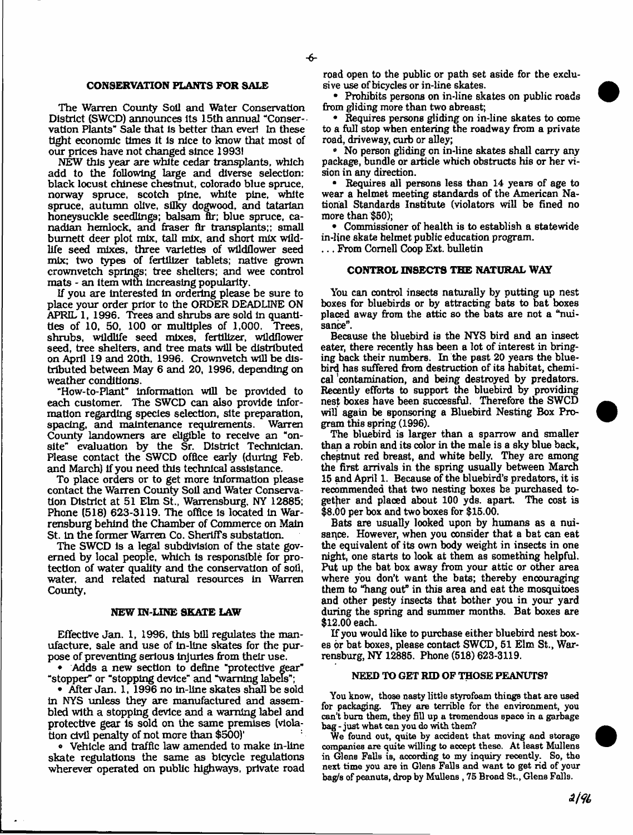# **CONSERVATION PLANTS FOR SALE**

The Warren County Soil and Water Conservation District (SWCD) announces its 15th annual "Conservation Plants" Sale that is better than ever! In these tight economic times it is nice to know that most of our prices have not changed since 1993!

NEW this year are white cedar transplants, which add to the following large and diverse selection: black locust Chinese chestnut, Colorado blue spruce, norway spruce, scotch pine, white pine, white spruce, autumn olive, silky dogwood, and tatarian honeysuckle seedlings; balsam fir; blue spruce, Canadian hemlock, and fraser flr transplants;; small bum ett deer plot mix, tall mix, and short mix wildlife seed mixes, three varieties of wildflower seed mix; two types of fertilizer tablets; native grown crownvetch springs; tree shelters; and wee control mats - an item with increasing popularity.

If you are interested in ordering please be sure to place your order prior to the ORDER DEADLINE ON APRIL 1, 1996. Trees and shrubs are sold in quantities of 10, 50, 100 or multiples of 1,000. Trees, shrubs, wildlife seed mixes, fertilizer, wildflower seed, tree shelters, and tree mats will be distributed on April 19 and 20th, 1996. Crownvetch will be distributed between May 6 and 20, 1996, depending on weather conditions.

"How-to-Plant" information will be provided to each customer. The SWCD can also provide information regarding species selection, site preparation, spacing, and maintenance requirements. Warren County landowners are eligible to receive an "onsite" evaluation by the Sr. District Technician. Please contact the SWCD office early (during Feb. and March) if you need this technical assistance.

To place orders or to get more information please contact the Warren County Soil and Water Conservation District at 51 Elm St., Warrensburg, NY 12885; Phone (518) 623-3119. The office Is located in Warrensburg behind the Chamber of Commerce on Main St. In the former Warren Co. Sheriffs substation.

The SWCD is a legal subdivision of the state governed by local people, which is responsible for protection of water quality and the conservation of soil, water, and related natural resources in Warren County,

#### **NEW IN-LINE SKATE LAW**

Effective Jan. 1, 1996, this bill regulates the manufacture, sale and use of in-line skates for the purpose of preventing serious injuries from their use.

• Adds a new section to define "protective gear" "stopper" or "stopping device" and "warning labels";

• After Jan. 1, 1996 no in-line skates shall be sold in NYS unless they are manufactured and assembled with a stopping device and a warning label and protective gear is sold on the same premises (violation civil penalty of not more than \$500)'

• Vehicle and traffic law amended to make in-line skate regulations the same as bicycle regulations wherever operated on public highways, private road

road open to the public or path set aside for the exclusive use of bicycles or in-line skates.

• Prohibits persons on in-line skates on public roads from gliding more than two abreast;

• Requires persons gliding on in-line skates to come to a full stop when entering the roadway from a private road, driveway, curb or alley;

• No person gliding on in-line skates shall carry any package, bundle or article which obstructs his or her vision in any direction.

• Requires all persons less than 14 years of age to wear a helmet meeting standards of the American National Standards Institute (violators will be fined no more than \$50);

• Commissioner of health is to establish a statewide in-line skate helmet public education program.

... From Cornell Coop Ext. bulletin

# **CONTROL INSECTS THE NATURAL WAY**

You can control insects naturally by putting up nest boxes for bluebirds or by attracting bats to bat boxes placed away from the attic so the bats are not a "nuisance".

Because the bluebird is the NYS bird and an insect eater, there recently has been a lot of interest in bringing back their numbers. In the past 20 years the bluebird has suffered from destruction of its habitat, chemical 'contamination, and being destroyed by predators. Recently efforts to support the bluebird by providing nest boxes have been successful. Therefore the SWCD will again be sponsoring a Bluebird Nesting Box Program this spring (1996).

The bluebird is larger than a sparrow and smaller than a robin and its color in the male is a sky blue back, chestnut red breast, and white belly. They are among the first arrivals in the spring usually between March 15 and April 1. Because of the bluebird's predators, it is recommended that two nesting boxes be purchased together and placed about 100 yds. apart. The cost is \$8.00 per box and two boxes for \$15.00.

Bats are usually looked upon by humans as a nuisance. However, when you consider that a bat can eat the equivalent of its own body weight in insects in one night, one starts to look at them as something helpful. Put up the bat box away from your attic or other area where you don't want the bats; thereby encouraging them to "hang out" in this area and eat the mosquitoes and other pesty insects that bother you in your yard during the spring and summer months. Bat boxes are \$12.00 each.

If you would like to purchase either bluebird nest boxes or bat boxes, please contact SWCD, 51 Elm St., Warrensburg, NY 12885. Phone (518) 623-3119.

# NEED TO GET RID OF THOSE PEANUTS?

You know, those nasty little styrofoam things that are used for packaging. They are terrible for the environment, you can't burn them, they fill up a tremendous space in a garbage bag - just what can you do with them?

We found out, quite by accident that moving and storage companies are quite willing to accept these. At least Mullens in Glens Falls is, according to my inquiry recently. So, the next time you are in Glens Falls and want to get rid of your bag/s of peanuts, drop by Mullens , 75 Broad St., Glens Falls.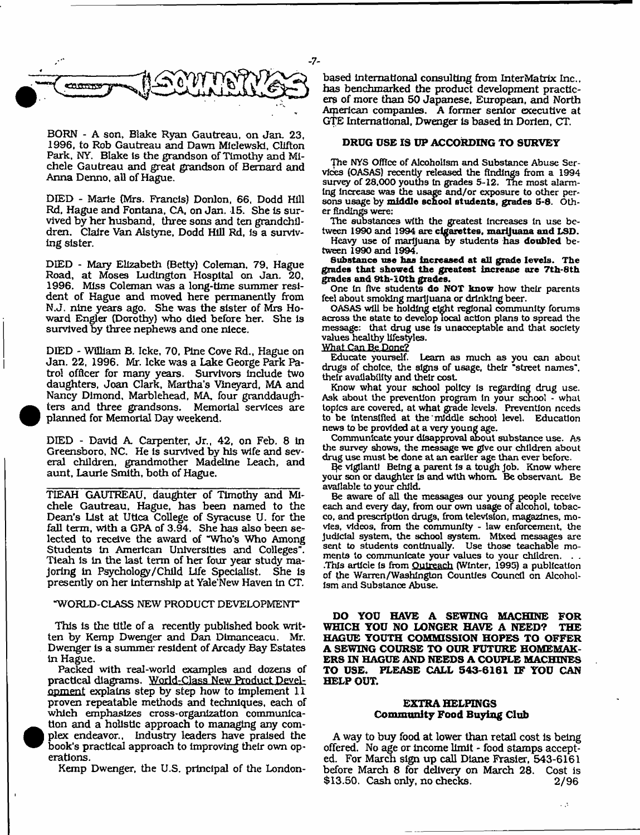

BORN - A son, Blake Ryan Gautreau, on Jan. 23, 1996, to Rob Gautreau and Dawn MIelewski, Clifton Park, NY. Blake Is the grandson of Timothy and Michele Gautreau and great grandson of Bernard and Anna Denno, all of Hague.

DIED - Marie (Mrs. Francis) Donlon, 66, Dodd Hill Rd, Hague and Fontana, CA, on Jan. 15. She is survived by her husband, three sons and ten grandchildren. Claire Van Alstyne, Dodd Hill Rd, Is a surviving sister.

DIED - Mary Elizabeth (Betty) Coleman, 79, Hague Road, at Moses Ludlngton Hospital on Jan. 20, 1996. Miss Coleman was a long-time summer resident of Hague and moved here permanently from N.J. nine years ago. She was the sister of Mrs Howard Engler (Dorothy) who died before her. She Is survived by three nephews and one niece.

DIED - William B. Icke, 70, Pine Cove Rd., Hague on Jan. 22, 1996. Mr. Icke was a Lake George Park Patrol officer for many years. Survivors include two daughters, Joan Clark, Martha's Vineyard, MA and Nancy Dlmond, Marblehead, MA four granddaugh ters and three grandsons. Memorial services are planned for Memorial Day weekend,

DIED - David A Carpenter, Jr., 42, on Feb. 8 in Greensboro, NC. He is survived by his wife and several children, grandmother Madeline Leach, and aunt, Laurie Smith, both of Hague.

**•** 

 $\bullet$ 

i

TIEAH GAUTREAU, daughter of Timothy and Michele Gautreau. Hague, has been named to the Dean's List at Utica College of Syracuse U. for the fall term, with a GPA of 3.94. She has also been selected to receive the award of "Who's Who Among Students In American Universities and Colleges". Tieah is in the last term of her four year study majoring in Psychology/Child Life Specialist. She is presently on her internship at Yale'New Haven in CT.

# "WORLD-CLASS NEW PRODUCT DEVELOPMENT"

This is the title of a recently published book written by Kemp Dwenger and Dan Dlmanceacu. Mr. Dwenger Is a summer resident of Arcady Bay Estates in Hague.

Packed with real-world examples and dozens of practical diagrams, World-Class New Product Development explains step by step how to implement 11 proven repeatable methods and techniques, each of which emphasizes cross-organization communica tion and a holistic approach to managing any complex endeavor,, Industry leaders have praised the book's practical approach to Improving their own operations.

Kemp Dwenger, the U.S. principal of the London-

based international consulting from InterMatrix Inc., has benchmarked the product development practicers of more than 50 Japanese, European, and North American companies. A former senior executive at GTE International, Dwenger is based in Dorien, CT,

# **DRUG USE IS UP ACCORDING TO SURVEY**

The NYS Office of Alcoholism and Substance Abuse Services (OASAS) recently released the findings from a 1994 survey of 28.000 youths In grades 5-12. The most alarming increase was the usage and/or exposure to other persons usage by **middle school students, grades** 5-8. Other findings were:

The substances with the greatest Increases In use between **1990** and **1994** are **cigarettes, marijuana and LSD.**

Heavy use of marijuana by students has **doubled** between 1990 and 1994.

**Substance use has Increased at all grade levels. The grades that showed the greatest increase are 7th-8th grades and 9th-10th grades.**

One In five students **do NOT know** how their parents feel about smoking marijuana or drinking beer.

OASAS will be holding eight regional community forums across the state to develop local action plans to spread the message: that drug use Is unacceptable and that society values healthy lifestyles.

# What Can Be Done?

Educate yourself. Learn as much as you can about drugs of choice, the signs of usage, their "street names", their availability and their cost

Know what your school policy Is regarding drug use. Ask about the prevention program In your school - what topics are covered, at what grade levels. Prevention needs to be Intensified at the middle school level. Education news to be provided at a very young age.

Communicate your disapproval shout substance use. As the survey shows, the message we give our children about drug use must be done at an earlier age than ever before.

E}e vigilant! Being a parent Is a tough Job. Know where your son or daughter is and with whom. Be observant. Be available to your child.

Be aware of all the messages our young people receive each and every day, from our own usage of alcohol, tobacco, and prescription drugs, from television, magazines, movies, videos, from the community - law enforcement, the Judicial system, the school system. Mixed messages are sent to students continually. Use those teachable moments to communicate your values to your children. .This article Is from Outreach (Winter, 1995) a publication of the Warren/Washington Counties Council on Alcoholism and Substance Abuse.

**DO YOU HAVE A SEWING MACHINE FOR WHICH YOU NO LONGER HAVE A NEED? THE HAGUE YOUTH COMMISSION HOPES TO OFFER A SEWING COURSE TO OUR FUTURE HOMEMAK-ERS IN HAGUE AND NEEDS A COUPLE MACHINES TO USE. PLEASE CALL 543-6161 IF YOU CAN HELP OUT.**

# **EXTRA HELPINGS Community Food Buying Club**

A way to buy food at lower than retail cost is being offered. No age or Income limit - food stamps accepted. For March sign up call Diane Frasier, 543-6161 before March 8 for delivery on March 28. Cost is \$13.50. Cash only, no checks. 2/96

 $\sim 15$